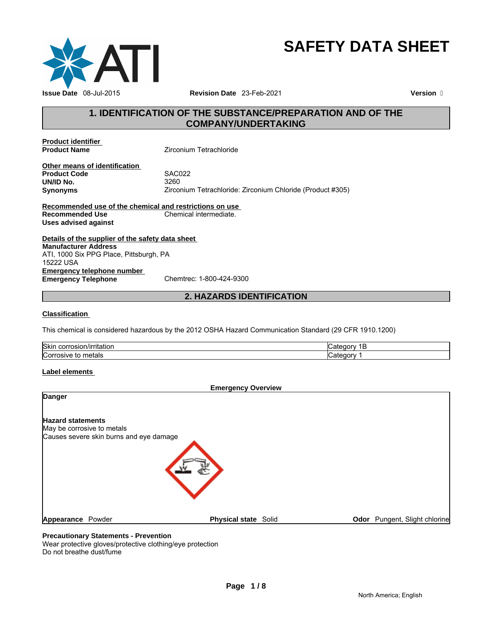

# **SAFETY DATA SHEET**

# **1. IDENTIFICATION OF THE SUBSTANCE/PREPARATION AND OF THE COMPANY/UNDERTAKING**

**Product identifier<br>Product Name** 

**Zirconium Tetrachloride** 

**Other means of identification Product Code** SAC022 **UN/ID No. Synonyms** Zirconium Tetrachloride: Zirconium Chloride (Product #305)

**Recommended use of the chemical and restrictions on use Recommended Use** Chemical intermediate. **Uses advised against** 

**Details of the supplier of the safety data sheet Emergency telephone number<br>
Emergency Telephone**<br>
Chemtrec: 1-800-424-9300 **Emergency Telephone Manufacturer Address** ATI, 1000 Six PPG Place, Pittsburgh, PA 15222 USA

**2. HAZARDS IDENTIFICATION** 

#### **Classification**

This chemical is considered hazardous by the 2012 OSHA Hazard Communication Standard (29 CFR 1910.1200)

| <b>Skin</b><br>ı/ırrıtatıon<br>corrosion<br>. | "               |
|-----------------------------------------------|-----------------|
| ∽<br>metals<br>rosive i<br>ICori<br>w         | <br>onry<br>$-$ |

#### **Label elements**

|                          |                                         | <b>Emergency Overview</b>   |                                      |  |
|--------------------------|-----------------------------------------|-----------------------------|--------------------------------------|--|
| <b>Danger</b>            |                                         |                             |                                      |  |
| <b>Hazard statements</b> |                                         |                             |                                      |  |
|                          | May be corrosive to metals              |                             |                                      |  |
|                          | Causes severe skin burns and eye damage |                             |                                      |  |
|                          |                                         |                             |                                      |  |
| Appearance               | Powder                                  | <b>Physical state Solid</b> | <b>Odor</b> Pungent, Slight chlorine |  |

# **Precautionary Statements - Prevention**

Wear protective gloves/protective clothing/eye protection Do not breathe dust/fume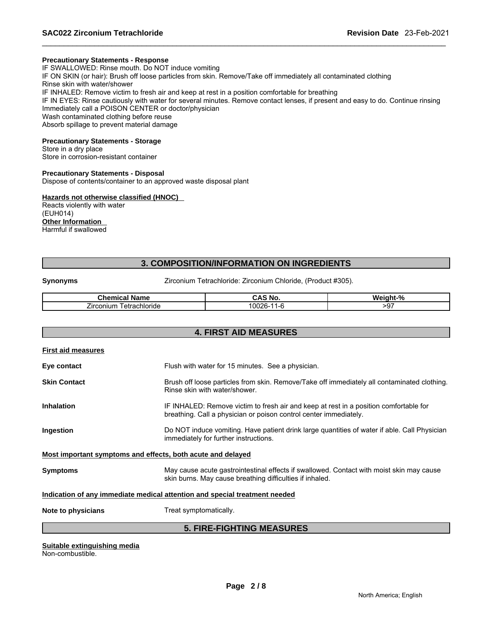#### **Precautionary Statements - Response**

IF SWALLOWED: Rinse mouth. Do NOT induce vomiting IF ON SKIN (or hair): Brush off loose particles from skin. Remove/Take off immediately all contaminated clothing Rinse skin with water/shower IF INHALED: Remove victim to fresh air and keep at rest in a position comfortable for breathing IF IN EYES: Rinse cautiously with water for several minutes. Remove contact lenses, if present and easy to do. Continue rinsing Immediately call a POISON CENTER or doctor/physician Wash contaminated clothing before reuse Absorb spillage to prevent material damage

#### **Precautionary Statements - Storage**

Store in a dry place Store in corrosion-resistant container

#### **Precautionary Statements - Disposal**

Dispose of contents/container to an approved waste disposal plant

#### **Hazards not otherwise classified (HNOC)**

Reacts violently with water (EUH014) **Other Information**  Harmful if swallowed

# **3. COMPOSITION/INFORMATION ON INGREDIENTS**

**Synonyms Zirconium Tetrachloride: Zirconium Chloride, (Product #305).** 

| Chemic:<br>.<br>$-1$<br>лпе                        | .No               | $-90$<br>---<br>W۵    |
|----------------------------------------------------|-------------------|-----------------------|
| --<br><i>L</i> irconium<br>≅chloride<br>∩tr∩<br>cι | .0002<br>. .<br>. | $\sim$ $-$<br>50<br>◡ |

# **4. FIRST AID MEASURES**

| <b>First aid measures</b>                                                  |                                                                                                                                                            |  |  |
|----------------------------------------------------------------------------|------------------------------------------------------------------------------------------------------------------------------------------------------------|--|--|
| Eye contact                                                                | Flush with water for 15 minutes. See a physician.                                                                                                          |  |  |
| Skin Contact                                                               | Brush off loose particles from skin. Remove/Take off immediately all contaminated clothing.<br>Rinse skin with water/shower.                               |  |  |
| Inhalation                                                                 | IF INHALED: Remove victim to fresh air and keep at rest in a position comfortable for<br>breathing. Call a physician or poison control center immediately. |  |  |
| Ingestion                                                                  | Do NOT induce vomiting. Have patient drink large quantities of water if able. Call Physician<br>immediately for further instructions.                      |  |  |
| Most important symptoms and effects, both acute and delayed                |                                                                                                                                                            |  |  |
| Symptoms                                                                   | May cause acute gastrointestinal effects if swallowed. Contact with moist skin may cause<br>skin burns. May cause breathing difficulties if inhaled.       |  |  |
| Indication of any immediate medical attention and special treatment needed |                                                                                                                                                            |  |  |
| Note to physicians                                                         | Treat symptomatically.                                                                                                                                     |  |  |
| <b>5. FIRE-FIGHTING MEASURES</b>                                           |                                                                                                                                                            |  |  |

**Page 2 / 8 Suitable extinguishing media** Non-combustible.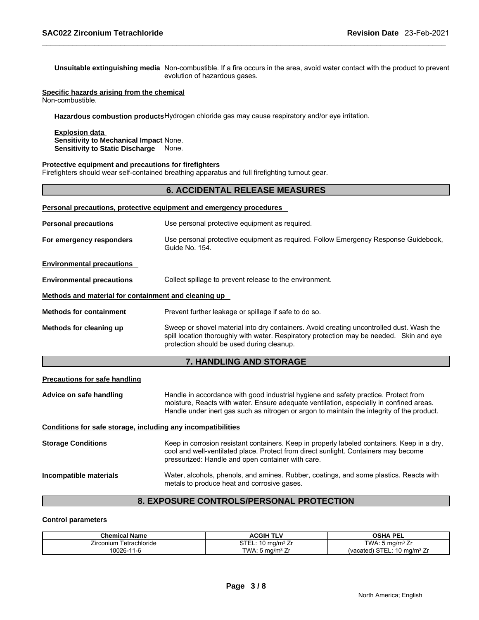**Unsuitable extinguishing media** Non-combustible. If a fire occurs in the area, avoid water contact with the product to prevent evolution of hazardous gases.

#### **Specific hazards arising from the chemical** Non-combustible.

**Hazardous combustion products** Hydrogen chloride gas may cause respiratory and/or eye irritation.

**Explosion data Sensitivity to Mechanical Impact** None. **Sensitivity to Static Discharge** None.

#### **Protective equipment and precautions for firefighters**

Firefighters should wear self-contained breathing apparatus and full firefighting turnout gear.

# **6. ACCIDENTAL RELEASE MEASURES**

|                                                                               | Personal precautions, protective equipment and emergency procedures                                                                                                                                                               |  |  |  |  |
|-------------------------------------------------------------------------------|-----------------------------------------------------------------------------------------------------------------------------------------------------------------------------------------------------------------------------------|--|--|--|--|
| Use personal protective equipment as required.<br><b>Personal precautions</b> |                                                                                                                                                                                                                                   |  |  |  |  |
| For emergency responders                                                      | Use personal protective equipment as required. Follow Emergency Response Guidebook,<br>Guide No. 154.                                                                                                                             |  |  |  |  |
| <b>Environmental precautions</b>                                              |                                                                                                                                                                                                                                   |  |  |  |  |
| <b>Environmental precautions</b>                                              | Collect spillage to prevent release to the environment.                                                                                                                                                                           |  |  |  |  |
| Methods and material for containment and cleaning up                          |                                                                                                                                                                                                                                   |  |  |  |  |
| <b>Methods for containment</b>                                                | Prevent further leakage or spillage if safe to do so.                                                                                                                                                                             |  |  |  |  |
| Methods for cleaning up                                                       | Sweep or shovel material into dry containers. Avoid creating uncontrolled dust. Wash the<br>spill location thoroughly with water. Respiratory protection may be needed. Skin and eye<br>protection should be used during cleanup. |  |  |  |  |
|                                                                               | <b>7. HANDLING AND STORAGE</b>                                                                                                                                                                                                    |  |  |  |  |
| <b>Precautions for safe handling</b>                                          |                                                                                                                                                                                                                                   |  |  |  |  |

**Advice on safe handling** Handle in accordance with good industrial hygiene and safety practice. Protect from moisture, Reacts with water. Ensure adequate ventilation, especially in confined areas. Handle under inert gas such as nitrogen or argon to maintain the integrity of the product.

#### **Conditions for safe storage, including any incompatibilities**

| <b>Storage Conditions</b> | Keep in corrosion resistant containers. Keep in properly labeled containers. Keep in a dry,<br>cool and well-ventilated place. Protect from direct sunlight. Containers may become<br>pressurized: Handle and open container with care. |  |
|---------------------------|-----------------------------------------------------------------------------------------------------------------------------------------------------------------------------------------------------------------------------------------|--|
| Incompatible materials    | Water, alcohols, phenols, and amines. Rubber, coatings, and some plastics. Reacts with<br>metals to produce heat and corrosive gases.                                                                                                   |  |

# **8. EXPOSURE CONTROLS/PERSONAL PROTECTION**

#### **Control parameters**

| <b>Chemical Name</b>       | ACGIH TLV                   | <b>OSHA PEL</b>                        |
|----------------------------|-----------------------------|----------------------------------------|
| lirconium<br>Tetrachloride | ma/mª Zr                    | TWA: 5 $mq/m3 Zr$                      |
| 0026-11-6<br>'1-b          | TWA: 5 ma/m <sup>3</sup> Zr | (vacated) STEL: $10 \text{ ma/m}^3$ Zr |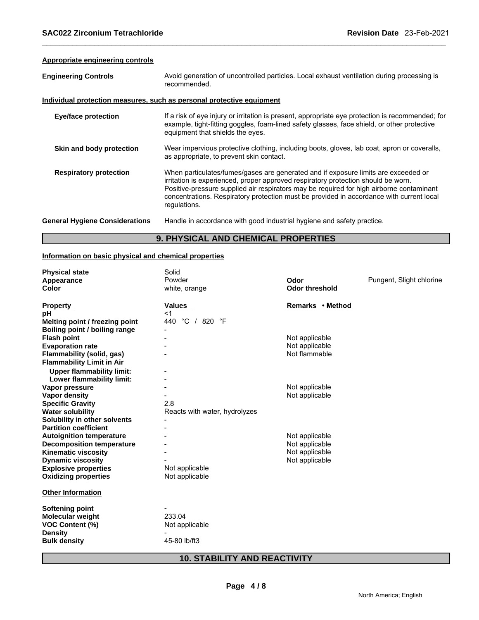# **Appropriate engineering controls**

|  | <b>Engineering Controls</b> |  |
|--|-----------------------------|--|
|  |                             |  |

Avoid generation of uncontrolled particles. Local exhaust ventilation during processing is recommended.

#### **Individual protection measures, such as personal protective equipment**

| <b>Eye/face protection</b>            | If a risk of eye injury or irritation is present, appropriate eye protection is recommended; for<br>example, tight-fitting goggles, foam-lined safety glasses, face shield, or other protective<br>equipment that shields the eyes.                                                                                                                                             |
|---------------------------------------|---------------------------------------------------------------------------------------------------------------------------------------------------------------------------------------------------------------------------------------------------------------------------------------------------------------------------------------------------------------------------------|
| Skin and body protection              | Wear impervious protective clothing, including boots, gloves, lab coat, apron or coveralls,<br>as appropriate, to prevent skin contact.                                                                                                                                                                                                                                         |
| <b>Respiratory protection</b>         | When particulates/fumes/gases are generated and if exposure limits are exceeded or<br>irritation is experienced, proper approved respiratory protection should be worn.<br>Positive-pressure supplied air respirators may be required for high airborne contaminant<br>concentrations. Respiratory protection must be provided in accordance with current local<br>regulations. |
| <b>General Hygiene Considerations</b> | Handle in accordance with good industrial hygiene and safety practice.                                                                                                                                                                                                                                                                                                          |

# **9. PHYSICAL AND CHEMICAL PROPERTIES**

#### **Information on basic physical and chemical properties**

| <b>Physical state</b>                                         | Solid                         |                       |                          |
|---------------------------------------------------------------|-------------------------------|-----------------------|--------------------------|
| Appearance                                                    | Powder                        | Odor                  | Pungent, Slight chlorine |
| Color                                                         | white, orange                 | <b>Odor threshold</b> |                          |
| <b>Property</b>                                               | <b>Values</b>                 | Remarks • Method      |                          |
| рH                                                            | $<$ 1                         |                       |                          |
| Melting point / freezing point                                | 440 °C / 820 °F               |                       |                          |
| Boiling point / boiling range                                 |                               |                       |                          |
| <b>Flash point</b>                                            |                               | Not applicable        |                          |
| <b>Evaporation rate</b>                                       |                               | Not applicable        |                          |
| Flammability (solid, gas)<br><b>Flammability Limit in Air</b> |                               | Not flammable         |                          |
| <b>Upper flammability limit:</b>                              |                               |                       |                          |
| Lower flammability limit:                                     |                               |                       |                          |
| Vapor pressure                                                |                               | Not applicable        |                          |
| <b>Vapor density</b>                                          |                               | Not applicable        |                          |
| <b>Specific Gravity</b>                                       | 2.8                           |                       |                          |
| <b>Water solubility</b>                                       | Reacts with water, hydrolyzes |                       |                          |
| Solubility in other solvents                                  |                               |                       |                          |
| <b>Partition coefficient</b>                                  |                               |                       |                          |
| <b>Autoignition temperature</b>                               |                               | Not applicable        |                          |
| <b>Decomposition temperature</b>                              |                               | Not applicable        |                          |
| <b>Kinematic viscosity</b>                                    |                               | Not applicable        |                          |
| <b>Dynamic viscosity</b>                                      |                               | Not applicable        |                          |
| <b>Explosive properties</b>                                   | Not applicable                |                       |                          |
| <b>Oxidizing properties</b>                                   | Not applicable                |                       |                          |
| <b>Other Information</b>                                      |                               |                       |                          |
| <b>Softening point</b>                                        |                               |                       |                          |
| <b>Molecular weight</b>                                       | 233.04                        |                       |                          |
| <b>VOC Content (%)</b>                                        | Not applicable                |                       |                          |
| <b>Density</b>                                                |                               |                       |                          |
| <b>Bulk density</b>                                           | 45-80 lb/ft3                  |                       |                          |
|                                                               |                               |                       |                          |

# **10. STABILITY AND REACTIVITY**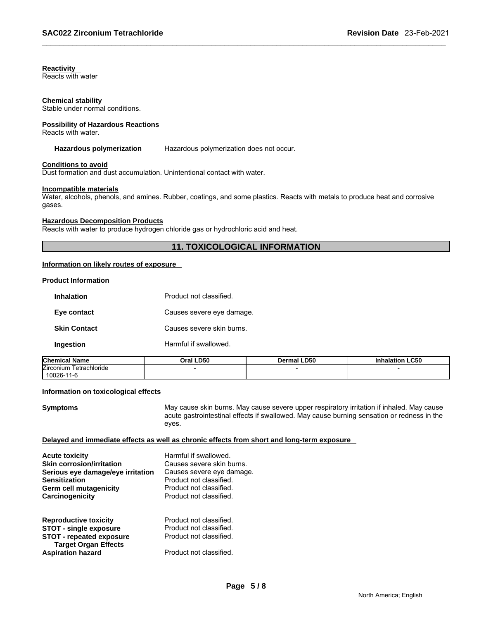# **Reactivity**

Reacts with water

#### **Chemical stability**

Stable under normal conditions.

# **Possibility of Hazardous Reactions**

Reacts with water.

#### **Hazardous polymerization** Hazardous polymerization does not occur.

#### **Conditions to avoid**

Dust formation and dust accumulation. Unintentional contact with water.

#### **Incompatible materials**

Water, alcohols, phenols, and amines. Rubber, coatings, and some plastics. Reacts with metals to produce heat and corrosive gases.

#### **Hazardous Decomposition Products**

Reacts with water to produce hydrogen chloride gas or hydrochloric acid and heat.

### **11. TOXICOLOGICAL INFORMATION**

#### **Information on likely routes of exposure**

#### **Product Information**

| <b>Inhalation</b>   | Product not classified    |
|---------------------|---------------------------|
| Eye contact         | Causes severe eye damage. |
| <b>Skin Contact</b> | Causes severe skin burns. |
| Ingestion           | Harmful if swallowed.     |

| <b>Chemical Name</b>              | <b>D50</b><br>Oral | <b>Dermal LD50</b> | <b>Inhalation LC50</b> |
|-----------------------------------|--------------------|--------------------|------------------------|
| <b>Zirconium</b><br>Tetrachloride |                    |                    |                        |
| $10026 -$<br>1-6                  |                    |                    |                        |

#### **Information on toxicological effects**

**Symptoms** May cause skin burns. May cause severe upper respiratory irritation if inhaled. May cause acute gastrointestinal effects if swallowed. May cause burning sensation or redness in the eyes.

#### **Delayed and immediate effects as well as chronic effects from short and long-term exposure**

| <b>Acute toxicity</b><br><b>Skin corrosion/irritation</b><br>Serious eye damage/eye irritation<br><b>Sensitization</b><br>Germ cell mutagenicity<br>Carcinogenicity | Harmful if swallowed.<br>Causes severe skin burns.<br>Causes severe eye damage.<br>Product not classified.<br>Product not classified.<br>Product not classified. |
|---------------------------------------------------------------------------------------------------------------------------------------------------------------------|------------------------------------------------------------------------------------------------------------------------------------------------------------------|
| <b>Reproductive toxicity</b>                                                                                                                                        | Product not classified.                                                                                                                                          |
| <b>STOT - single exposure</b>                                                                                                                                       | Product not classified.                                                                                                                                          |
| <b>STOT - repeated exposure</b>                                                                                                                                     | Product not classified.                                                                                                                                          |
| <b>Target Organ Effects</b>                                                                                                                                         |                                                                                                                                                                  |
| <b>Aspiration hazard</b>                                                                                                                                            | Product not classified.                                                                                                                                          |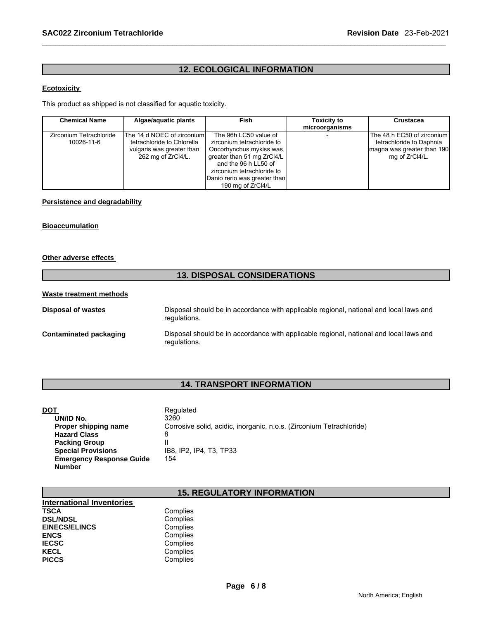# **12. ECOLOGICAL INFORMATION**

### **Ecotoxicity**

This product as shipped is not classified for aquatic toxicity.

| <b>Chemical Name</b>    | Algae/aguatic plants       | Fish                         | <b>Toxicity to</b> | <b>Crustacea</b>             |
|-------------------------|----------------------------|------------------------------|--------------------|------------------------------|
|                         |                            |                              | microorganisms     |                              |
| Zirconium Tetrachloride | The 14 d NOEC of zirconium | The 96h LC50 value of        |                    | The 48 h EC50 of zirconium I |
| 10026-11-6              | tetrachloride to Chlorella | zirconium tetrachloride to   |                    | tetrachloride to Daphnia     |
|                         | vulgaris was greater than  | Oncorhynchus mykiss was      |                    | magna was greater than 190   |
|                         | 262 mg of ZrCl4/L.         | greater than 51 mg ZrCl4/L   |                    | mg of ZrCI4/L.               |
|                         |                            | and the 96 h LL50 of         |                    |                              |
|                         |                            | zirconium tetrachloride to   |                    |                              |
|                         |                            | Danio rerio was greater than |                    |                              |
|                         |                            | 190 mg of ZrCl4/L            |                    |                              |

#### **Persistence and degradability**

#### **Bioaccumulation**

#### **Other adverse effects**

# **13. DISPOSAL CONSIDERATIONS**

# **Waste treatment methods**

| <b>Disposal of wastes</b> | Disposal should be in accordance with applicable regional, national and local laws and<br>regulations. |
|---------------------------|--------------------------------------------------------------------------------------------------------|
| Contaminated packaging    | Disposal should be in accordance with applicable regional, national and local laws and<br>regulations. |

# **14. TRANSPORT INFORMATION**

| DOT                             | Regulated                                                            |
|---------------------------------|----------------------------------------------------------------------|
| UN/ID No.                       | 3260                                                                 |
| Proper shipping name            | Corrosive solid, acidic, inorganic, n.o.s. (Zirconium Tetrachloride) |
| <b>Hazard Class</b>             | 8                                                                    |
| <b>Packing Group</b>            |                                                                      |
| <b>Special Provisions</b>       | IB8. IP2. IP4. T3. TP33                                              |
| <b>Emergency Response Guide</b> | 154                                                                  |
| <b>Number</b>                   |                                                                      |

# **15. REGULATORY INFORMATION**

| <b>International Inventories</b> |          |  |
|----------------------------------|----------|--|
| TSCA                             | Complies |  |
| <b>DSL/NDSL</b>                  | Complies |  |
| <b>EINECS/ELINCS</b>             | Complies |  |
| ENCS                             | Complies |  |
| <b>IECSC</b>                     | Complies |  |
| KECL                             | Complies |  |
| <b>PICCS</b>                     | Complies |  |
|                                  |          |  |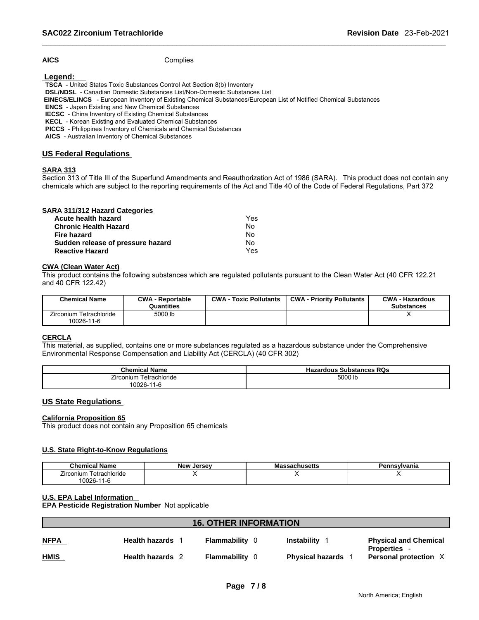AICS Complies

 **Legend:** 

 **TSCA** - United States Toxic Substances Control Act Section 8(b) Inventory

 **DSL/NDSL** - Canadian Domestic Substances List/Non-Domestic Substances List

 **EINECS/ELINCS** - European Inventory of Existing Chemical Substances/European List of Notified Chemical Substances

 **ENCS** - Japan Existing and New Chemical Substances

**IECSC** - China Inventory of Existing Chemical Substances

 **KECL** - Korean Existing and Evaluated Chemical Substances

 **PICCS** - Philippines Inventory of Chemicals and Chemical Substances

 **AICS** - Australian Inventory of Chemical Substances

### **US Federal Regulations**

# **SARA 313**

Section 313 of Title III of the Superfund Amendments and Reauthorization Act of 1986 (SARA). This product does not contain any chemicals which are subject to the reporting requirements of the Act and Title 40 of the Code of Federal Regulations, Part 372

|  | <b>SARA 311/312 Hazard Categories</b> |  |
|--|---------------------------------------|--|
|  |                                       |  |

| Acute health hazard               | Yes |
|-----------------------------------|-----|
| Chronic Health Hazard             | Nο  |
| Fire hazard                       | Nο  |
| Sudden release of pressure hazard | Nο  |
| <b>Reactive Hazard</b>            | Yes |

#### **CWA (Clean Water Act)**

This product contains the following substances which are regulated pollutants pursuant to the Clean Water Act (40 CFR 122.21 and 40 CFR 122.42)

| <b>Chemical Name</b>                  | <b>CWA - Reportable</b><br>Quantities | <b>CWA - Toxic Pollutants</b> | <b>CWA - Priority Pollutants</b> | <b>CWA - Hazardous</b><br><b>Substances</b> |
|---------------------------------------|---------------------------------------|-------------------------------|----------------------------------|---------------------------------------------|
| Zirconium Tetrachloride<br>10026-11-6 | 5000 lb                               |                               |                                  |                                             |

# **CERCLA**

This material, as supplied, contains one or more substances regulated as a hazardous substance under the Comprehensive Environmental Response Compensation and Liability Act (CERCLA) (40 CFR 302)

| <b>Chemical Name</b>                    | <b>Substances RQs</b><br>Hazardous |
|-----------------------------------------|------------------------------------|
| $- \cdot$<br>Zirconium<br>⊺etrachloride | 5000 lb                            |
| 10026-11<br>1-6                         |                                    |

#### **US State Regulations**

#### **California Proposition 65**

This product does not contain any Proposition 65 chemicals

#### **U.S. State Right-to-Know Regulations**

| <b>Chemical Name</b>               | <b>New</b><br>. Jersev | sachusetts<br>Мř | Pennsvlvania |
|------------------------------------|------------------------|------------------|--------------|
| Tetrachloride<br><i>L</i> irconium |                        |                  |              |
| $10026 -$<br>$\sim$<br>- 1 - C     |                        |                  |              |

#### **U.S. EPA Label Information**

**EPA Pesticide Registration Number** Not applicable

| <b>16. OTHER INFORMATION</b> |                         |                       |                         |                                                   |
|------------------------------|-------------------------|-----------------------|-------------------------|---------------------------------------------------|
| <b>NFPA</b>                  | <b>Health hazards</b> 1 | <b>Flammability 0</b> | <b>Instability</b>      | <b>Physical and Chemical</b><br><b>Properties</b> |
| <b>HMIS</b>                  | Health hazards 2        | <b>Flammability</b> 0 | <b>Physical hazards</b> | Personal protection X                             |